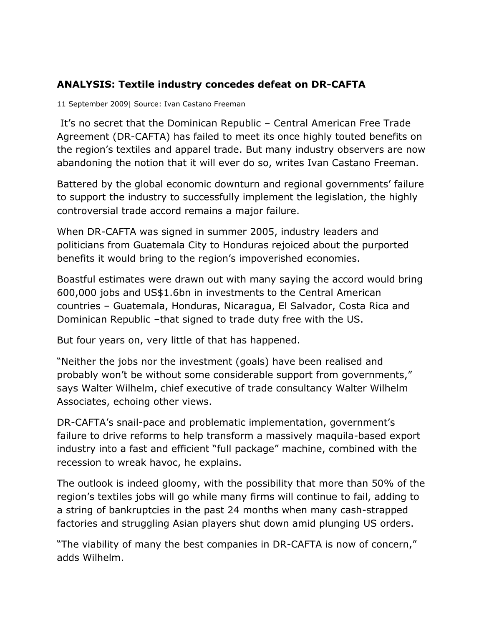## **ANALYSIS: Textile industry concedes defeat on DR-CAFTA**

11 September 2009| Source: Ivan Castano Freeman

It's no secret that the Dominican Republic – Central American Free Trade Agreement (DR-CAFTA) has failed to meet its once highly touted benefits on the region's textiles and apparel trade. But many industry observers are now abandoning the notion that it will ever do so, writes Ivan Castano Freeman.

Battered by the global economic downturn and regional governments' failure to support the industry to successfully implement the legislation, the highly controversial trade accord remains a major failure.

When DR-CAFTA was signed in summer 2005, industry leaders and politicians from Guatemala City to Honduras rejoiced about the purported benefits it would bring to the region's impoverished economies.

Boastful estimates were drawn out with many saying the accord would bring 600,000 jobs and US\$1.6bn in investments to the Central American countries – Guatemala, Honduras, Nicaragua, El Salvador, Costa Rica and Dominican Republic –that signed to trade duty free with the US.

But four years on, very little of that has happened.

"Neither the jobs nor the investment (goals) have been realised and probably won't be without some considerable support from governments," says Walter Wilhelm, chief executive of trade consultancy Walter Wilhelm Associates, echoing other views.

DR-CAFTA's snail-pace and problematic implementation, government's failure to drive reforms to help transform a massively maquila-based export industry into a fast and efficient "full package" machine, combined with the recession to wreak havoc, he explains.

The outlook is indeed gloomy, with the possibility that more than 50% of the region's textiles jobs will go while many firms will continue to fail, adding to a string of bankruptcies in the past 24 months when many cash-strapped factories and struggling Asian players shut down amid plunging US orders.

"The viability of many the best companies in DR-CAFTA is now of concern," adds Wilhelm.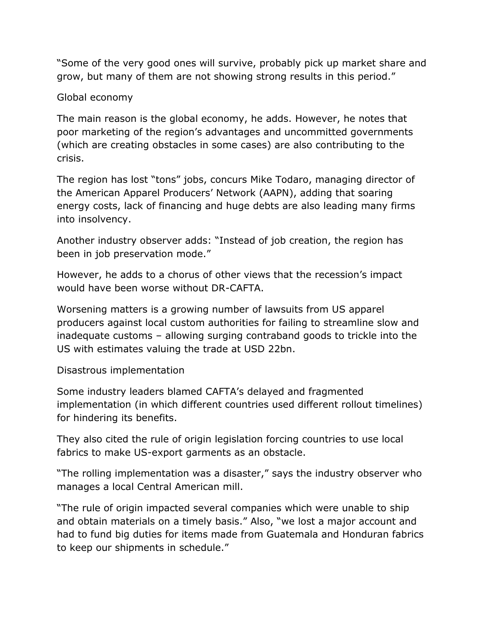"Some of the very good ones will survive, probably pick up market share and grow, but many of them are not showing strong results in this period."

## Global economy

The main reason is the global economy, he adds. However, he notes that poor marketing of the region's advantages and uncommitted governments (which are creating obstacles in some cases) are also contributing to the crisis.

The region has lost "tons" jobs, concurs Mike Todaro, managing director of the American Apparel Producers' Network (AAPN), adding that soaring energy costs, lack of financing and huge debts are also leading many firms into insolvency.

Another industry observer adds: "Instead of job creation, the region has been in job preservation mode."

However, he adds to a chorus of other views that the recession's impact would have been worse without DR-CAFTA.

Worsening matters is a growing number of lawsuits from US apparel producers against local custom authorities for failing to streamline slow and inadequate customs – allowing surging contraband goods to trickle into the US with estimates valuing the trade at USD 22bn.

Disastrous implementation

Some industry leaders blamed CAFTA's delayed and fragmented implementation (in which different countries used different rollout timelines) for hindering its benefits.

They also cited the rule of origin legislation forcing countries to use local fabrics to make US-export garments as an obstacle.

"The rolling implementation was a disaster," says the industry observer who manages a local Central American mill.

"The rule of origin impacted several companies which were unable to ship and obtain materials on a timely basis." Also, "we lost a major account and had to fund big duties for items made from Guatemala and Honduran fabrics to keep our shipments in schedule."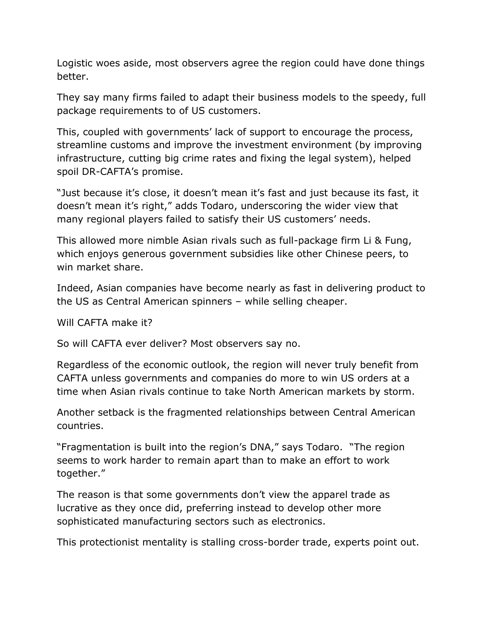Logistic woes aside, most observers agree the region could have done things better.

They say many firms failed to adapt their business models to the speedy, full package requirements to of US customers.

This, coupled with governments' lack of support to encourage the process, streamline customs and improve the investment environment (by improving infrastructure, cutting big crime rates and fixing the legal system), helped spoil DR-CAFTA's promise.

"Just because it's close, it doesn't mean it's fast and just because its fast, it doesn't mean it's right," adds Todaro, underscoring the wider view that many regional players failed to satisfy their US customers' needs.

This allowed more nimble Asian rivals such as full-package firm Li & Fung, which enjoys generous government subsidies like other Chinese peers, to win market share.

Indeed, Asian companies have become nearly as fast in delivering product to the US as Central American spinners – while selling cheaper.

Will CAFTA make it?

So will CAFTA ever deliver? Most observers say no.

Regardless of the economic outlook, the region will never truly benefit from CAFTA unless governments and companies do more to win US orders at a time when Asian rivals continue to take North American markets by storm.

Another setback is the fragmented relationships between Central American countries.

"Fragmentation is built into the region's DNA," says Todaro. "The region seems to work harder to remain apart than to make an effort to work together."

The reason is that some governments don't view the apparel trade as lucrative as they once did, preferring instead to develop other more sophisticated manufacturing sectors such as electronics.

This protectionist mentality is stalling cross-border trade, experts point out.